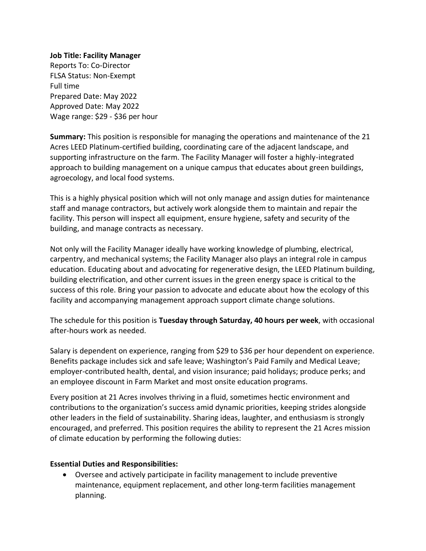### **Job Title: Facility Manager**

Reports To: Co-Director FLSA Status: Non-Exempt Full time Prepared Date: May 2022 Approved Date: May 2022 Wage range: \$29 - \$36 per hour

**Summary:** This position is responsible for managing the operations and maintenance of the 21 Acres LEED Platinum-certified building, coordinating care of the adjacent landscape, and supporting infrastructure on the farm. The Facility Manager will foster a highly-integrated approach to building management on a unique campus that educates about green buildings, agroecology, and local food systems.

This is a highly physical position which will not only manage and assign duties for maintenance staff and manage contractors, but actively work alongside them to maintain and repair the facility. This person will inspect all equipment, ensure hygiene, safety and security of the building, and manage contracts as necessary.

Not only will the Facility Manager ideally have working knowledge of plumbing, electrical, carpentry, and mechanical systems; the Facility Manager also plays an integral role in campus education. Educating about and advocating for regenerative design, the LEED Platinum building, building electrification, and other current issues in the green energy space is critical to the success of this role. Bring your passion to advocate and educate about how the ecology of this facility and accompanying management approach support climate change solutions.

The schedule for this position is **Tuesday through Saturday, 40 hours per week**, with occasional after-hours work as needed.

Salary is dependent on experience, ranging from \$29 to \$36 per hour dependent on experience. Benefits package includes sick and safe leave; Washington's Paid Family and Medical Leave; employer-contributed health, dental, and vision insurance; paid holidays; produce perks; and an employee discount in Farm Market and most onsite education programs.

Every position at 21 Acres involves thriving in a fluid, sometimes hectic environment and contributions to the organization's success amid dynamic priorities, keeping strides alongside other leaders in the field of sustainability. Sharing ideas, laughter, and enthusiasm is strongly encouraged, and preferred. This position requires the ability to represent the 21 Acres mission of climate education by performing the following duties:

## **Essential Duties and Responsibilities:**

• Oversee and actively participate in facility management to include preventive maintenance, equipment replacement, and other long-term facilities management planning.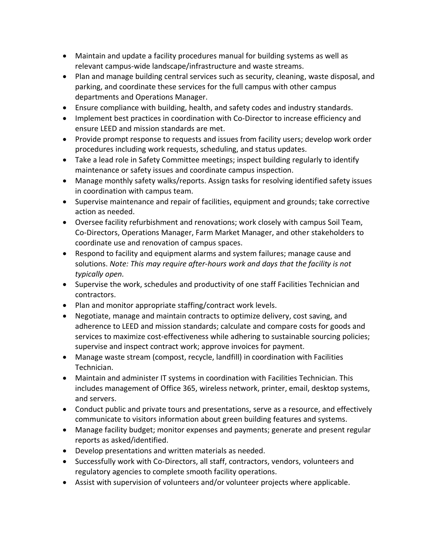- Maintain and update a facility procedures manual for building systems as well as relevant campus-wide landscape/infrastructure and waste streams.
- Plan and manage building central services such as security, cleaning, waste disposal, and parking, and coordinate these services for the full campus with other campus departments and Operations Manager.
- Ensure compliance with building, health, and safety codes and industry standards.
- Implement best practices in coordination with Co-Director to increase efficiency and ensure LEED and mission standards are met.
- Provide prompt response to requests and issues from facility users; develop work order procedures including work requests, scheduling, and status updates.
- Take a lead role in Safety Committee meetings; inspect building regularly to identify maintenance or safety issues and coordinate campus inspection.
- Manage monthly safety walks/reports. Assign tasks for resolving identified safety issues in coordination with campus team.
- Supervise maintenance and repair of facilities, equipment and grounds; take corrective action as needed.
- Oversee facility refurbishment and renovations; work closely with campus Soil Team, Co-Directors, Operations Manager, Farm Market Manager, and other stakeholders to coordinate use and renovation of campus spaces.
- Respond to facility and equipment alarms and system failures; manage cause and solutions. *Note: This may require after-hours work and days that the facility is not typically open.*
- Supervise the work, schedules and productivity of one staff Facilities Technician and contractors.
- Plan and monitor appropriate staffing/contract work levels.
- Negotiate, manage and maintain contracts to optimize delivery, cost saving, and adherence to LEED and mission standards; calculate and compare costs for goods and services to maximize cost-effectiveness while adhering to sustainable sourcing policies; supervise and inspect contract work; approve invoices for payment.
- Manage waste stream (compost, recycle, landfill) in coordination with Facilities Technician.
- Maintain and administer IT systems in coordination with Facilities Technician. This includes management of Office 365, wireless network, printer, email, desktop systems, and servers.
- Conduct public and private tours and presentations, serve as a resource, and effectively communicate to visitors information about green building features and systems.
- Manage facility budget; monitor expenses and payments; generate and present regular reports as asked/identified.
- Develop presentations and written materials as needed.
- Successfully work with Co-Directors, all staff, contractors, vendors, volunteers and regulatory agencies to complete smooth facility operations.
- Assist with supervision of volunteers and/or volunteer projects where applicable.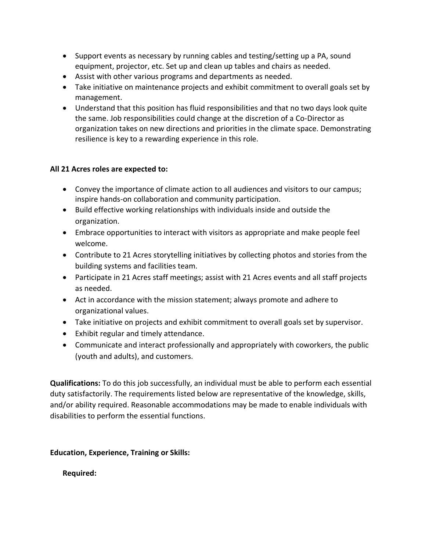- Support events as necessary by running cables and testing/setting up a PA, sound equipment, projector, etc. Set up and clean up tables and chairs as needed.
- Assist with other various programs and departments as needed.
- Take initiative on maintenance projects and exhibit commitment to overall goals set by management.
- Understand that this position has fluid responsibilities and that no two days look quite the same. Job responsibilities could change at the discretion of a Co-Director as organization takes on new directions and priorities in the climate space. Demonstrating resilience is key to a rewarding experience in this role.

# **All 21 Acres roles are expected to:**

- Convey the importance of climate action to all audiences and visitors to our campus; inspire hands-on collaboration and community participation.
- Build effective working relationships with individuals inside and outside the organization.
- Embrace opportunities to interact with visitors as appropriate and make people feel welcome.
- Contribute to 21 Acres storytelling initiatives by collecting photos and stories from the building systems and facilities team.
- Participate in 21 Acres staff meetings; assist with 21 Acres events and all staff projects as needed.
- Act in accordance with the mission statement; always promote and adhere to organizational values.
- Take initiative on projects and exhibit commitment to overall goals set by supervisor.
- Exhibit regular and timely attendance.
- Communicate and interact professionally and appropriately with coworkers, the public (youth and adults), and customers.

**Qualifications:** To do this job successfully, an individual must be able to perform each essential duty satisfactorily. The requirements listed below are representative of the knowledge, skills, and/or ability required. Reasonable accommodations may be made to enable individuals with disabilities to perform the essential functions.

## **Education, Experience, Training or Skills:**

**Required:**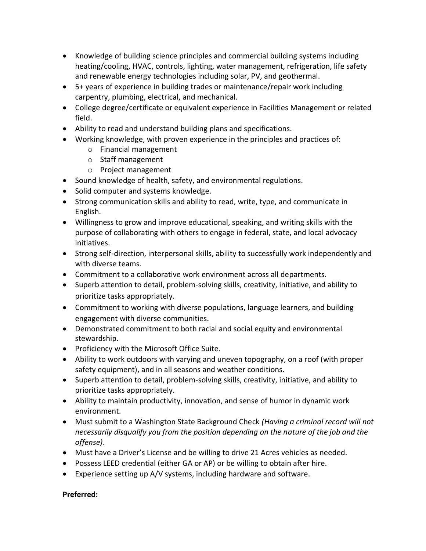- Knowledge of building science principles and commercial building systems including heating/cooling, HVAC, controls, lighting, water management, refrigeration, life safety and renewable energy technologies including solar, PV, and geothermal.
- 5+ years of experience in building trades or maintenance/repair work including carpentry, plumbing, electrical, and mechanical.
- College degree/certificate or equivalent experience in Facilities Management or related field.
- Ability to read and understand building plans and specifications.
- Working knowledge, with proven experience in the principles and practices of:
	- o Financial management
	- o Staff management
	- o Project management
- Sound knowledge of health, safety, and environmental regulations.
- Solid computer and systems knowledge.
- Strong communication skills and ability to read, write, type, and communicate in English.
- Willingness to grow and improve educational, speaking, and writing skills with the purpose of collaborating with others to engage in federal, state, and local advocacy initiatives.
- Strong self-direction, interpersonal skills, ability to successfully work independently and with diverse teams.
- Commitment to a collaborative work environment across all departments.
- Superb attention to detail, problem-solving skills, creativity, initiative, and ability to prioritize tasks appropriately.
- Commitment to working with diverse populations, language learners, and building engagement with diverse communities.
- Demonstrated commitment to both racial and social equity and environmental stewardship.
- Proficiency with the Microsoft Office Suite.
- Ability to work outdoors with varying and uneven topography, on a roof (with proper safety equipment), and in all seasons and weather conditions.
- Superb attention to detail, problem-solving skills, creativity, initiative, and ability to prioritize tasks appropriately.
- Ability to maintain productivity, innovation, and sense of humor in dynamic work environment.
- Must submit to a Washington State Background Check *(Having a criminal record will not necessarily disqualify you from the position depending on the nature of the job and the offense)*.
- Must have a Driver's License and be willing to drive 21 Acres vehicles as needed.
- Possess LEED credential (either GA or AP) or be willing to obtain after hire.
- Experience setting up A/V systems, including hardware and software.

## **Preferred:**